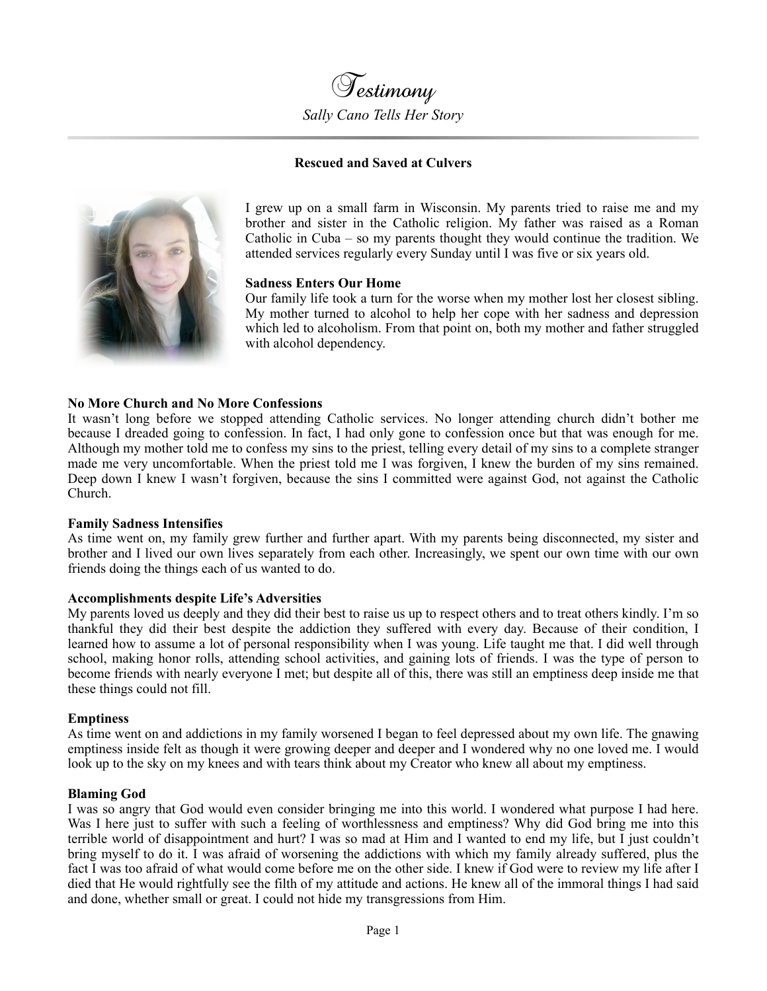

### **Rescued and Saved at Culvers**



I grew up on a small farm in Wisconsin. My parents tried to raise me and my brother and sister in the Catholic religion. My father was raised as a Roman Catholic in Cuba – so my parents thought they would continue the tradition. We attended services regularly every Sunday until I was five or six years old.

#### **Sadness Enters Our Home**

Our family life took a turn for the worse when my mother lost her closest sibling. My mother turned to alcohol to help her cope with her sadness and depression which led to alcoholism. From that point on, both my mother and father struggled with alcohol dependency.

### **No More Church and No More Confessions**

It wasn't long before we stopped attending Catholic services. No longer attending church didn't bother me because I dreaded going to confession. In fact, I had only gone to confession once but that was enough for me. Although my mother told me to confess my sins to the priest, telling every detail of my sins to a complete stranger made me very uncomfortable. When the priest told me I was forgiven, I knew the burden of my sins remained. Deep down I knew I wasn't forgiven, because the sins I committed were against God, not against the Catholic Church.

### **Family Sadness Intensifies**

As time went on, my family grew further and further apart. With my parents being disconnected, my sister and brother and I lived our own lives separately from each other. Increasingly, we spent our own time with our own friends doing the things each of us wanted to do.

### **Accomplishments despite Life's Adversities**

My parents loved us deeply and they did their best to raise us up to respect others and to treat others kindly. I'm so thankful they did their best despite the addiction they suffered with every day. Because of their condition, I learned how to assume a lot of personal responsibility when I was young. Life taught me that. I did well through school, making honor rolls, attending school activities, and gaining lots of friends. I was the type of person to become friends with nearly everyone I met; but despite all of this, there was still an emptiness deep inside me that these things could not fill.

### **Emptiness**

As time went on and addictions in my family worsened I began to feel depressed about my own life. The gnawing emptiness inside felt as though it were growing deeper and deeper and I wondered why no one loved me. I would look up to the sky on my knees and with tears think about my Creator who knew all about my emptiness.

### **Blaming God**

I was so angry that God would even consider bringing me into this world. I wondered what purpose I had here. Was I here just to suffer with such a feeling of worthlessness and emptiness? Why did God bring me into this terrible world of disappointment and hurt? I was so mad at Him and I wanted to end my life, but I just couldn't bring myself to do it. I was afraid of worsening the addictions with which my family already suffered, plus the fact I was too afraid of what would come before me on the other side. I knew if God were to review my life after I died that He would rightfully see the filth of my attitude and actions. He knew all of the immoral things I had said and done, whether small or great. I could not hide my transgressions from Him.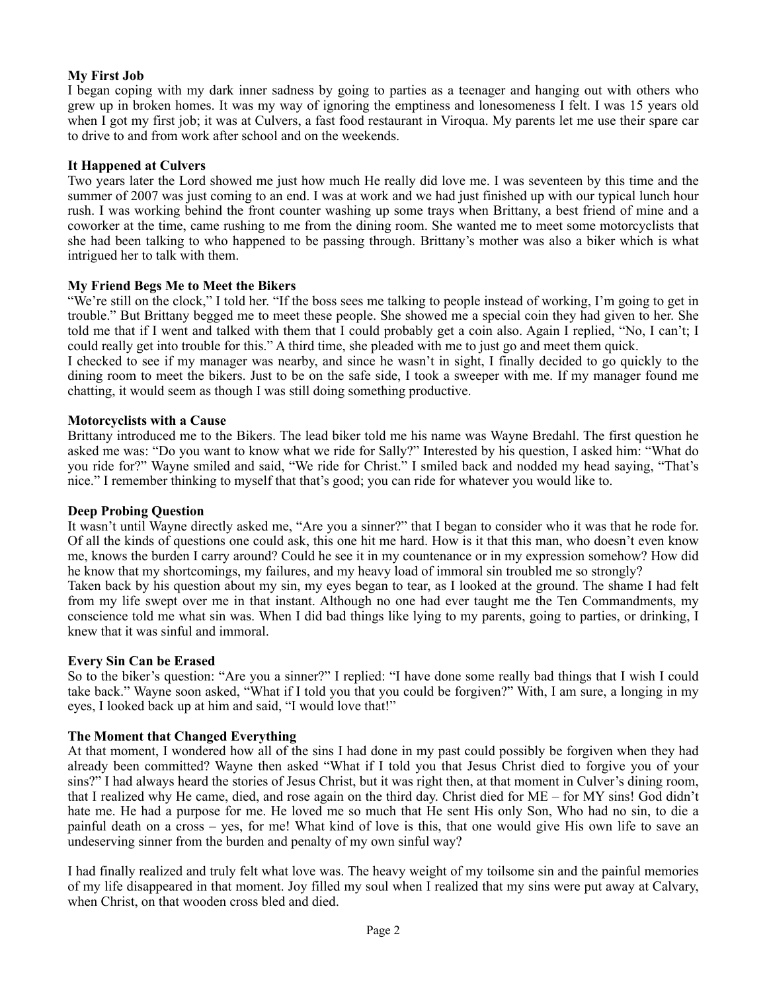# **My First Job**

I began coping with my dark inner sadness by going to parties as a teenager and hanging out with others who grew up in broken homes. It was my way of ignoring the emptiness and lonesomeness I felt. I was 15 years old when I got my first job; it was at Culvers, a fast food restaurant in Viroqua. My parents let me use their spare car to drive to and from work after school and on the weekends.

## **It Happened at Culvers**

Two years later the Lord showed me just how much He really did love me. I was seventeen by this time and the summer of 2007 was just coming to an end. I was at work and we had just finished up with our typical lunch hour rush. I was working behind the front counter washing up some trays when Brittany, a best friend of mine and a coworker at the time, came rushing to me from the dining room. She wanted me to meet some motorcyclists that she had been talking to who happened to be passing through. Brittany's mother was also a biker which is what intrigued her to talk with them.

## **My Friend Begs Me to Meet the Bikers**

"We're still on the clock," I told her. "If the boss sees me talking to people instead of working, I'm going to get in trouble." But Brittany begged me to meet these people. She showed me a special coin they had given to her. She told me that if I went and talked with them that I could probably get a coin also. Again I replied, "No, I can't; I could really get into trouble for this." A third time, she pleaded with me to just go and meet them quick.

I checked to see if my manager was nearby, and since he wasn't in sight, I finally decided to go quickly to the dining room to meet the bikers. Just to be on the safe side, I took a sweeper with me. If my manager found me chatting, it would seem as though I was still doing something productive.

### **Motorcyclists with a Cause**

Brittany introduced me to the Bikers. The lead biker told me his name was Wayne Bredahl. The first question he asked me was: "Do you want to know what we ride for Sally?" Interested by his question, I asked him: "What do you ride for?" Wayne smiled and said, "We ride for Christ." I smiled back and nodded my head saying, "That's nice." I remember thinking to myself that that's good; you can ride for whatever you would like to.

### **Deep Probing Question**

It wasn't until Wayne directly asked me, "Are you a sinner?" that I began to consider who it was that he rode for. Of all the kinds of questions one could ask, this one hit me hard. How is it that this man, who doesn't even know me, knows the burden I carry around? Could he see it in my countenance or in my expression somehow? How did he know that my shortcomings, my failures, and my heavy load of immoral sin troubled me so strongly?

Taken back by his question about my sin, my eyes began to tear, as I looked at the ground. The shame I had felt from my life swept over me in that instant. Although no one had ever taught me the Ten Commandments, my conscience told me what sin was. When I did bad things like lying to my parents, going to parties, or drinking, I knew that it was sinful and immoral.

### **Every Sin Can be Erased**

So to the biker's question: "Are you a sinner?" I replied: "I have done some really bad things that I wish I could take back." Wayne soon asked, "What if I told you that you could be forgiven?" With, I am sure, a longing in my eyes, I looked back up at him and said, "I would love that!"

## **The Moment that Changed Everything**

At that moment, I wondered how all of the sins I had done in my past could possibly be forgiven when they had already been committed? Wayne then asked "What if I told you that Jesus Christ died to forgive you of your sins?" I had always heard the stories of Jesus Christ, but it was right then, at that moment in Culver's dining room, that I realized why He came, died, and rose again on the third day. Christ died for ME – for MY sins! God didn't hate me. He had a purpose for me. He loved me so much that He sent His only Son, Who had no sin, to die a painful death on a cross – yes, for me! What kind of love is this, that one would give His own life to save an undeserving sinner from the burden and penalty of my own sinful way?

I had finally realized and truly felt what love was. The heavy weight of my toilsome sin and the painful memories of my life disappeared in that moment. Joy filled my soul when I realized that my sins were put away at Calvary, when Christ, on that wooden cross bled and died.